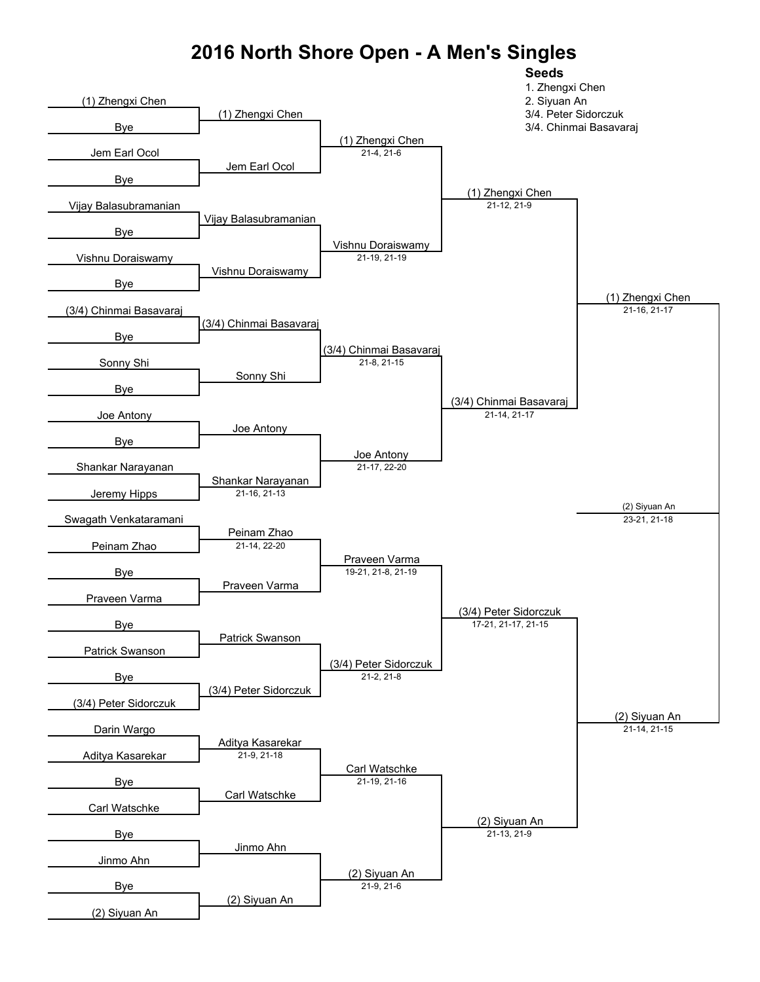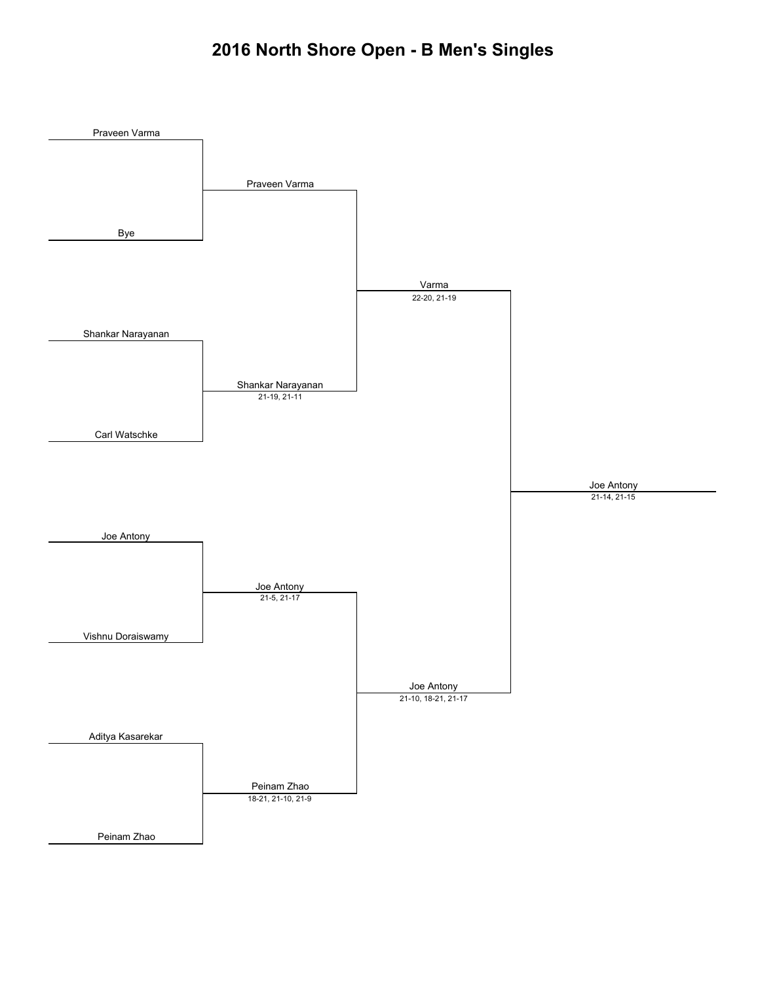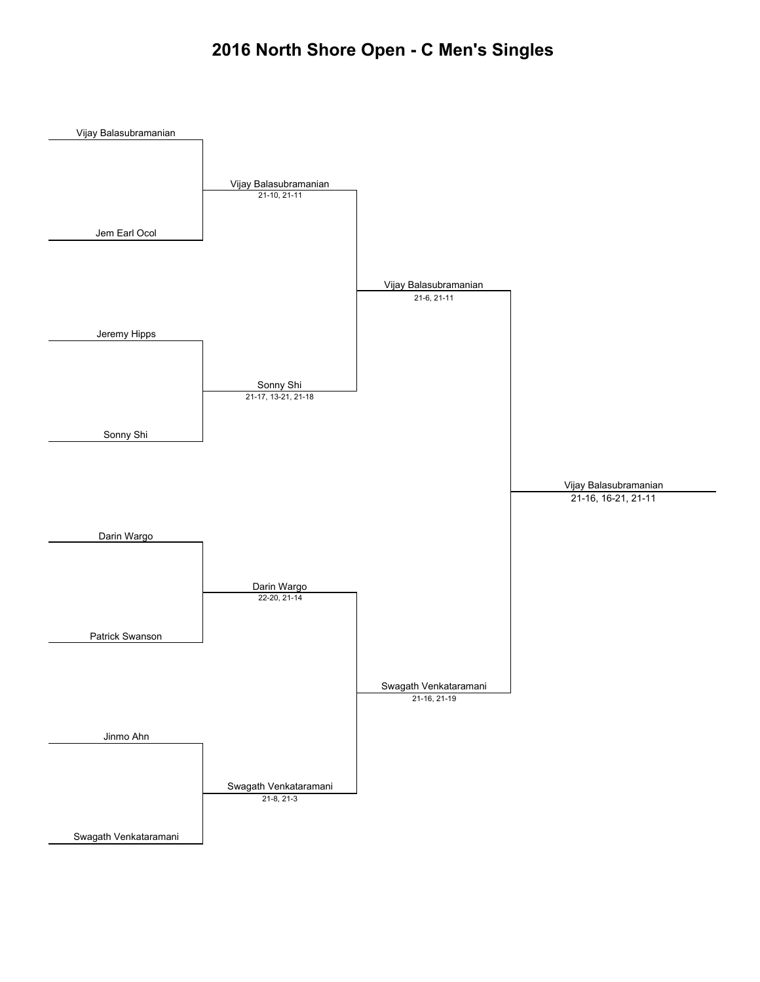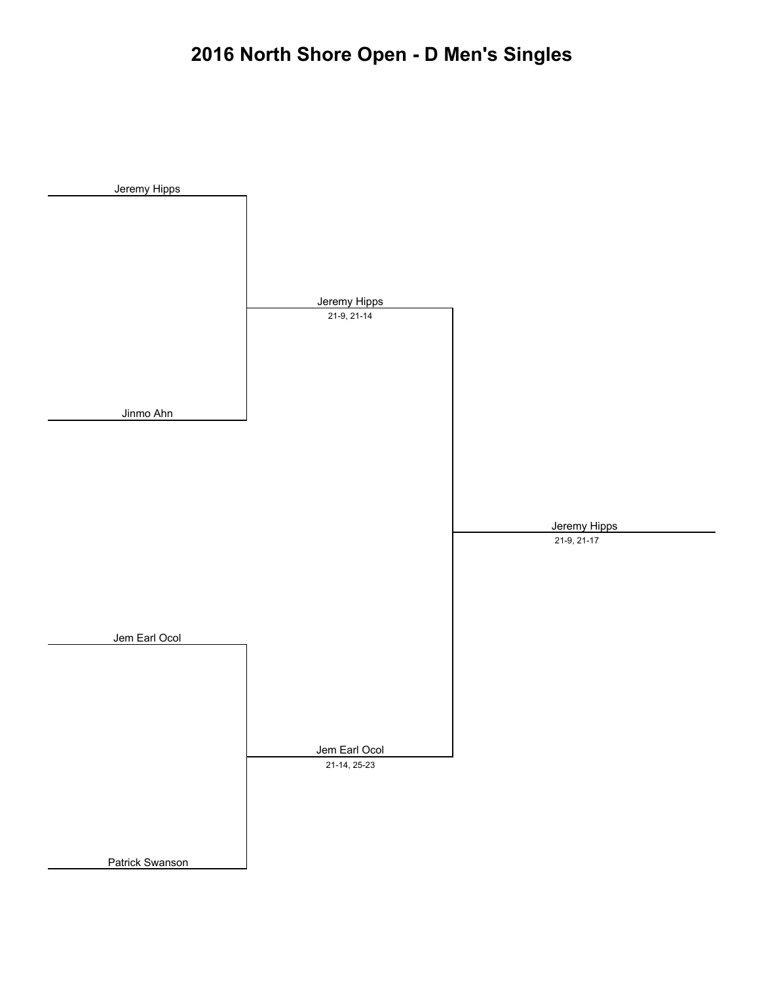# **2016 North Shore Open - D Men's Singles**

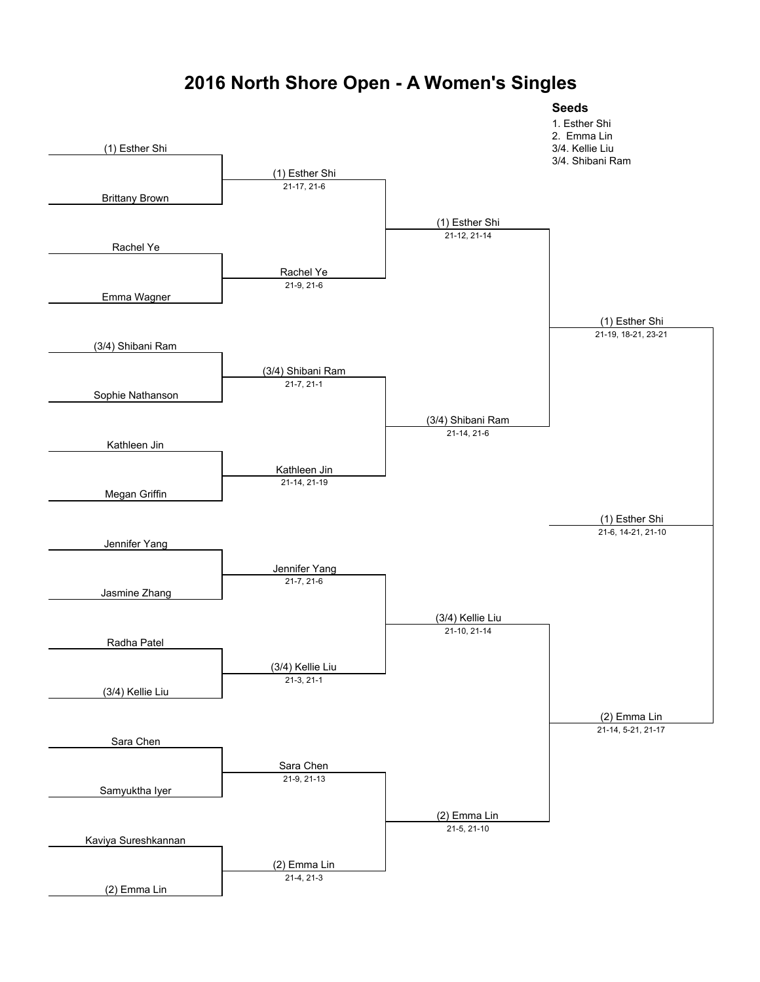

#### **2016 North Shore Open - A Women's Singles**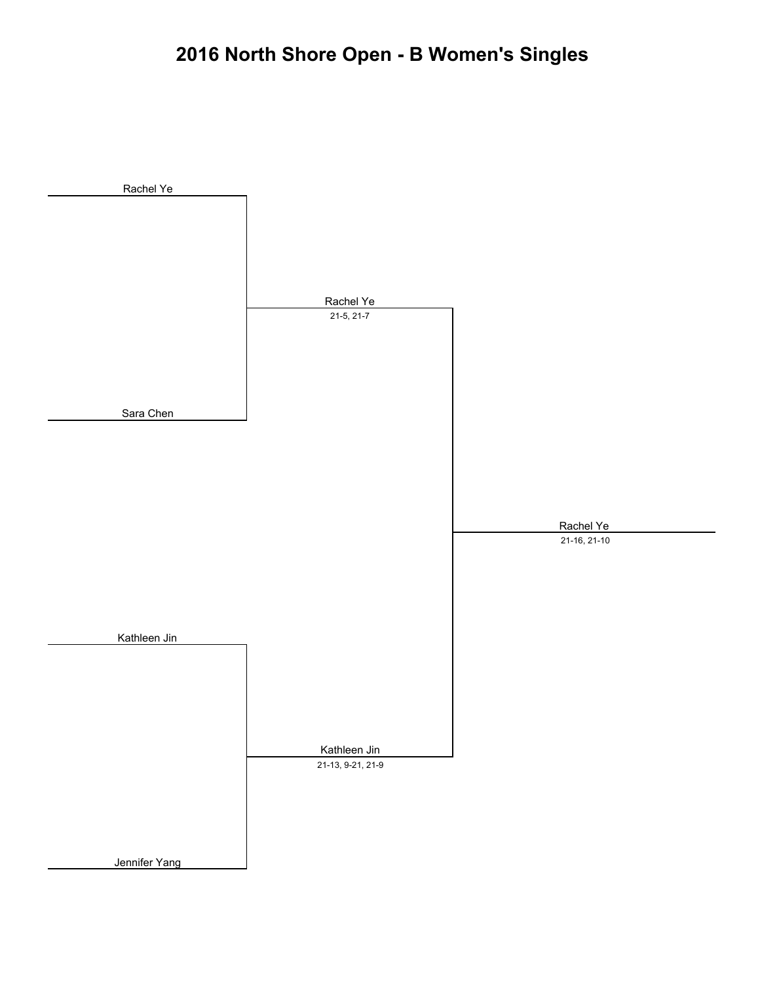# **2016 North Shore Open - B Women's Singles**

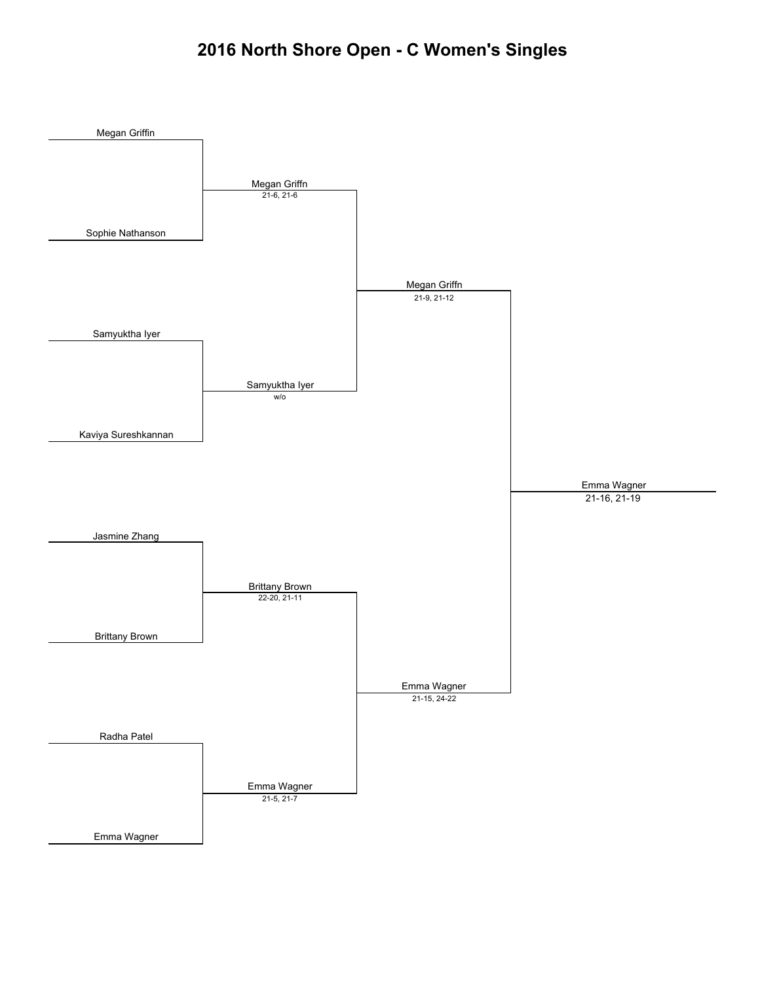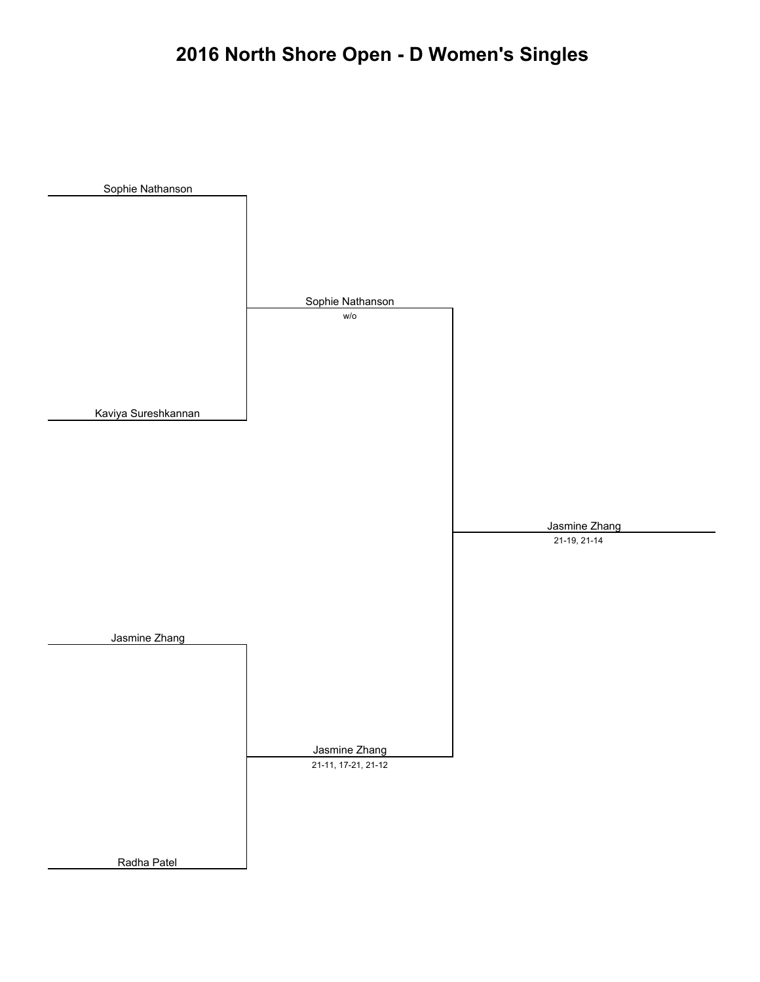# **2016 North Shore Open - D Women's Singles**

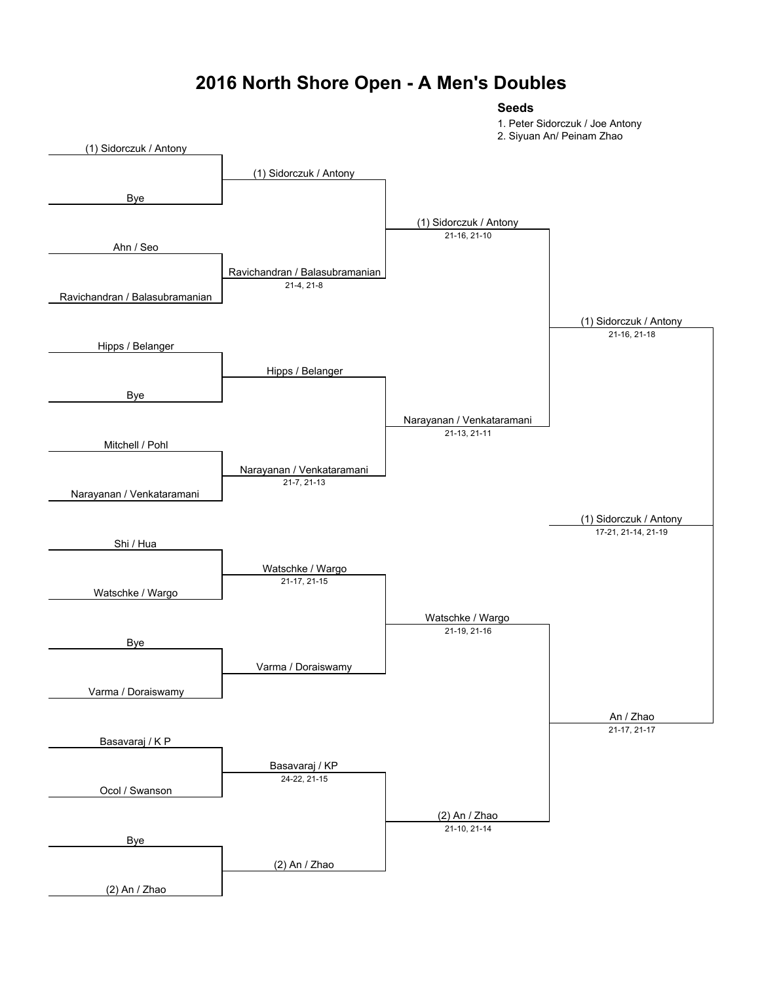#### **2016 North Shore Open - A Men's Doubles**

#### **Seeds**

1. Peter Sidorczuk / Joe Antony

2. Siyuan An/ Peinam Zhao

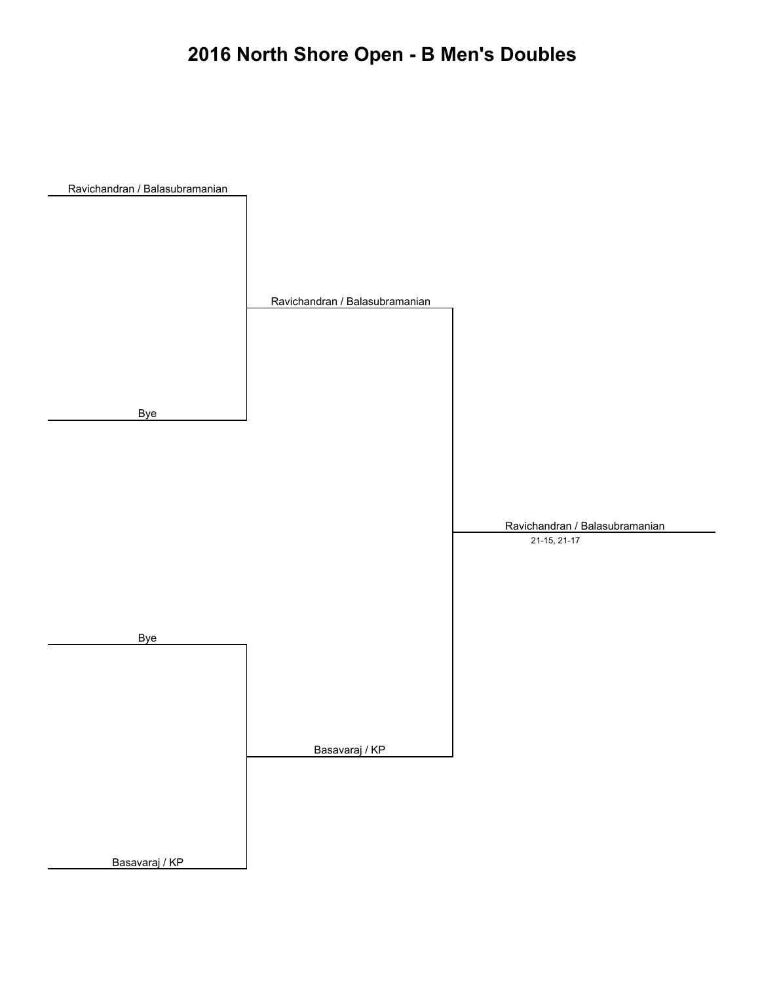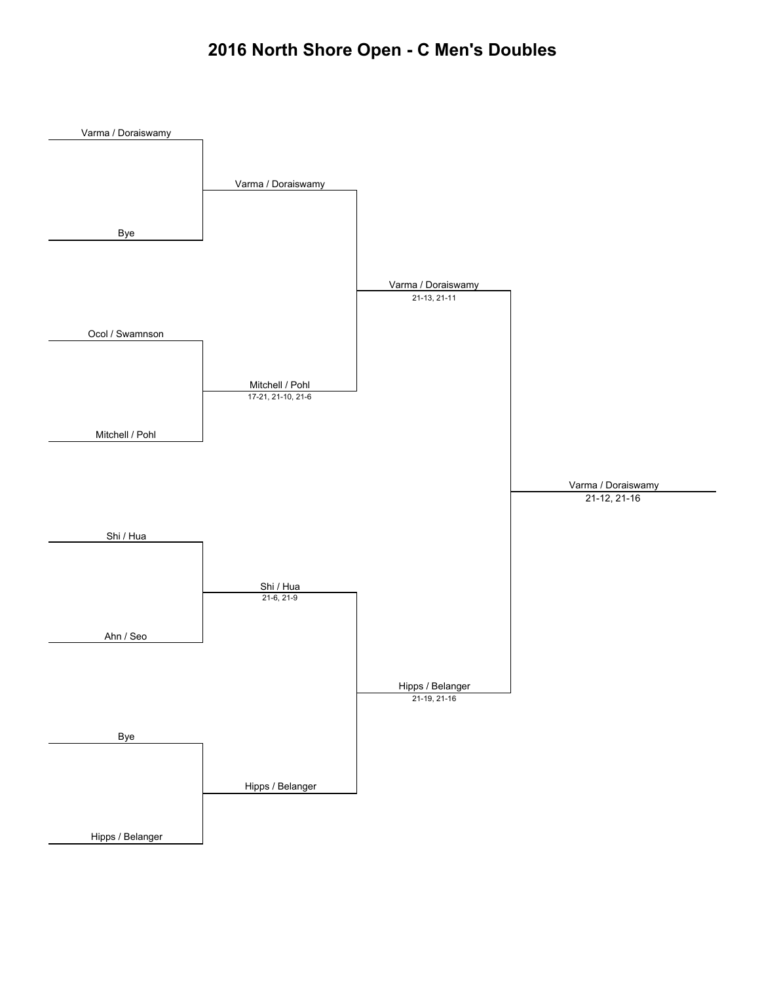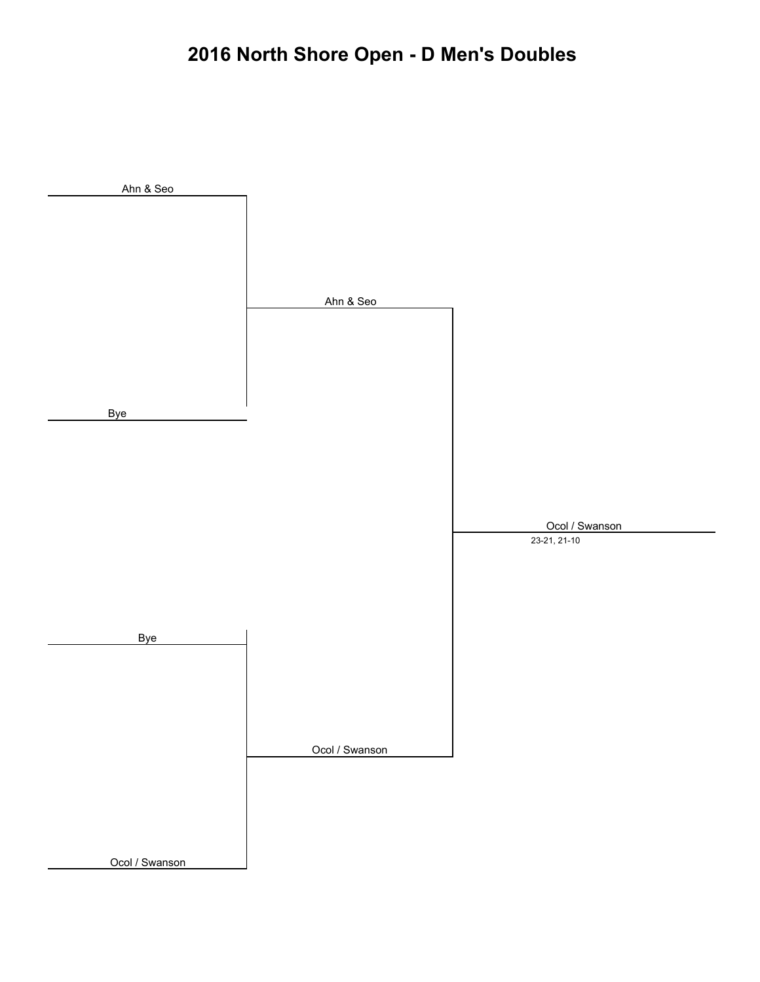# **2016 North Shore Open - D Men's Doubles**

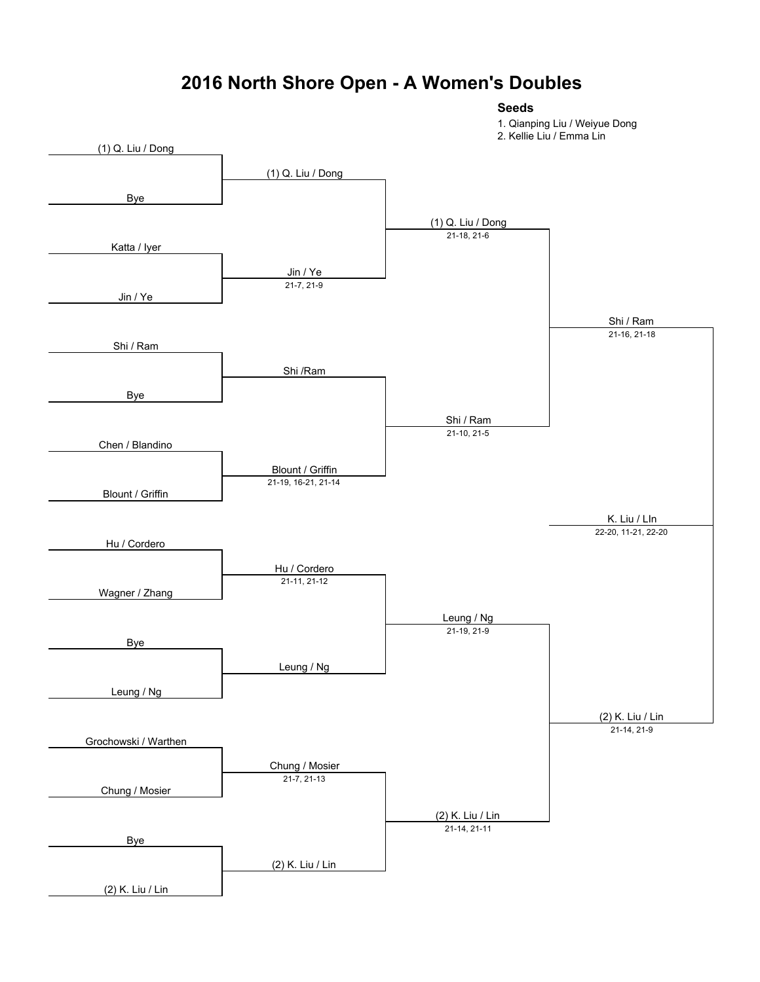## **2016 North Shore Open - A Women's Doubles**

**Seeds**

1. Qianping Liu / Weiyue Dong

2. Kellie Liu / Emma Lin

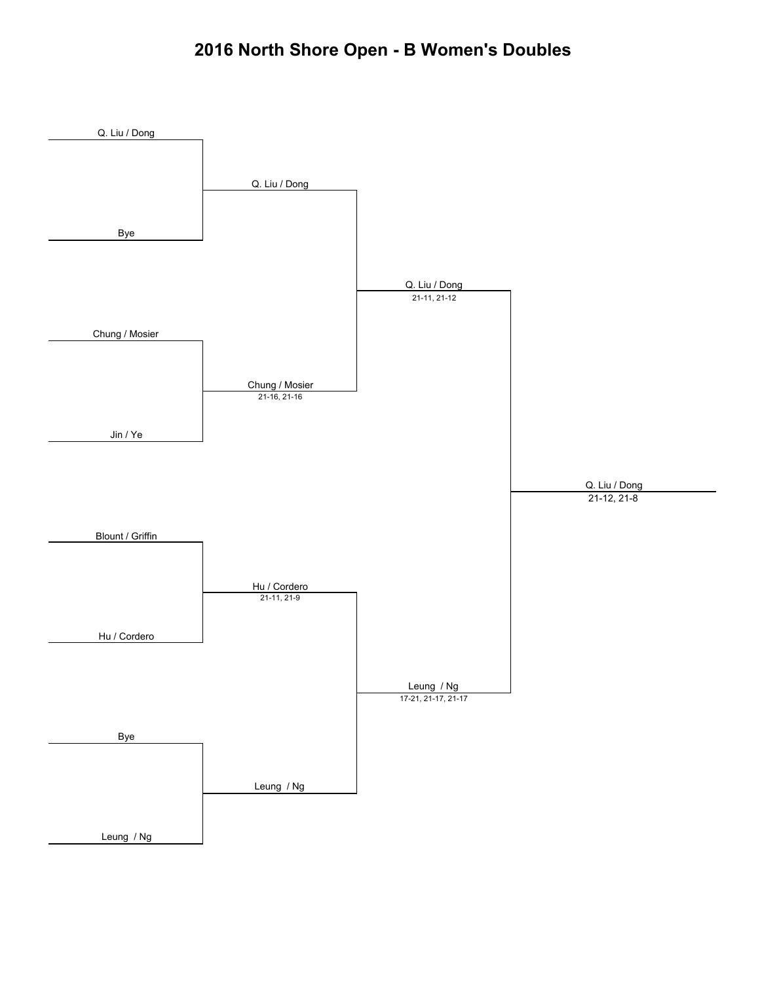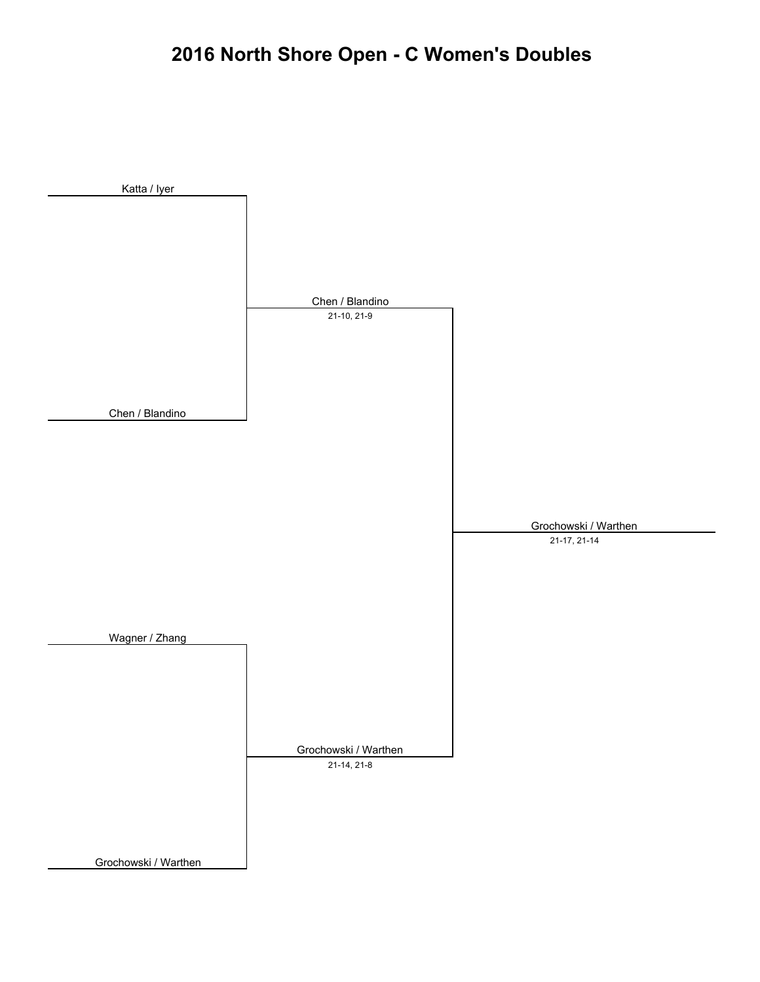# **2016 North Shore Open - C Women's Doubles**

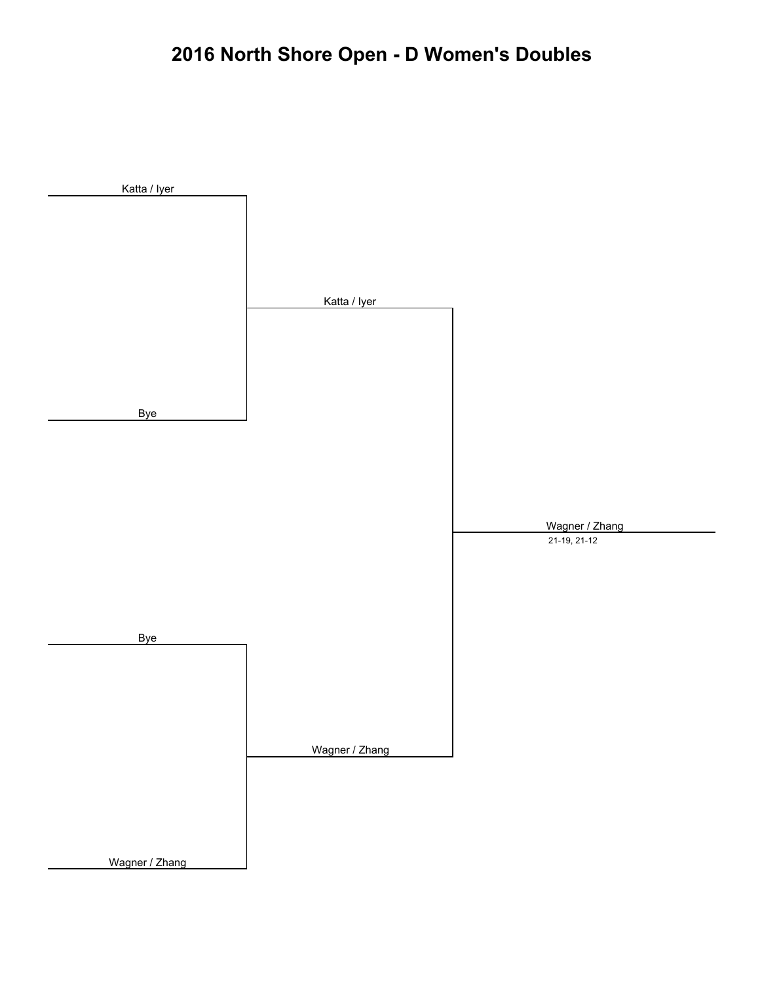# **2016 North Shore Open - D Women's Doubles**

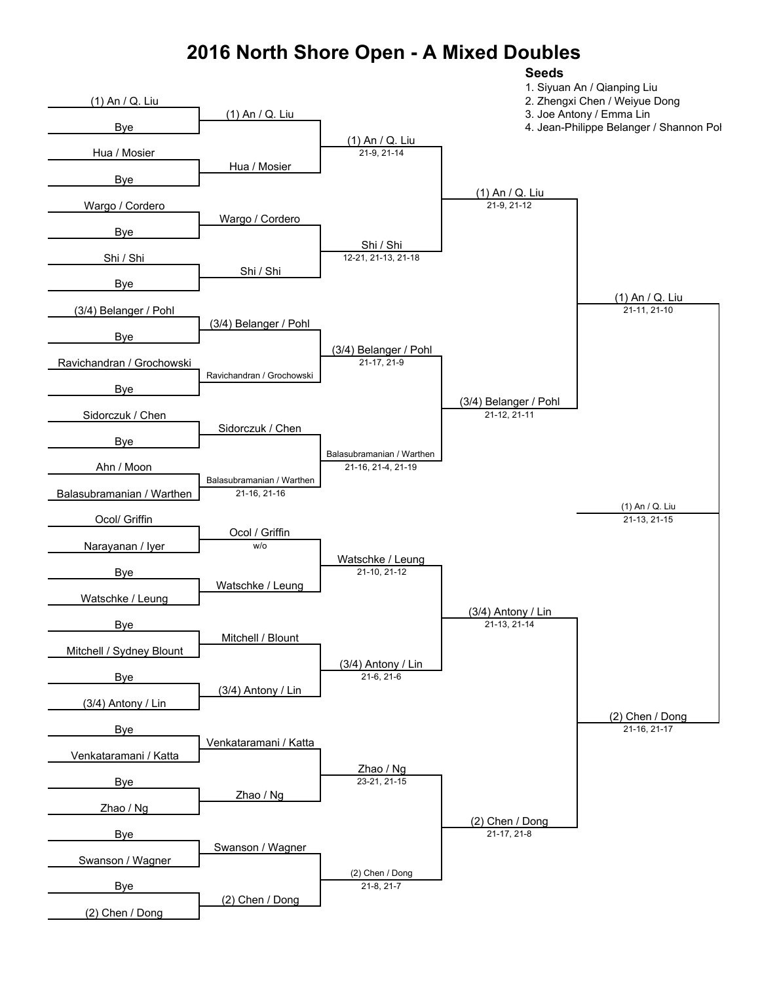## **2016 North Shore Open - A Mixed Doubles**

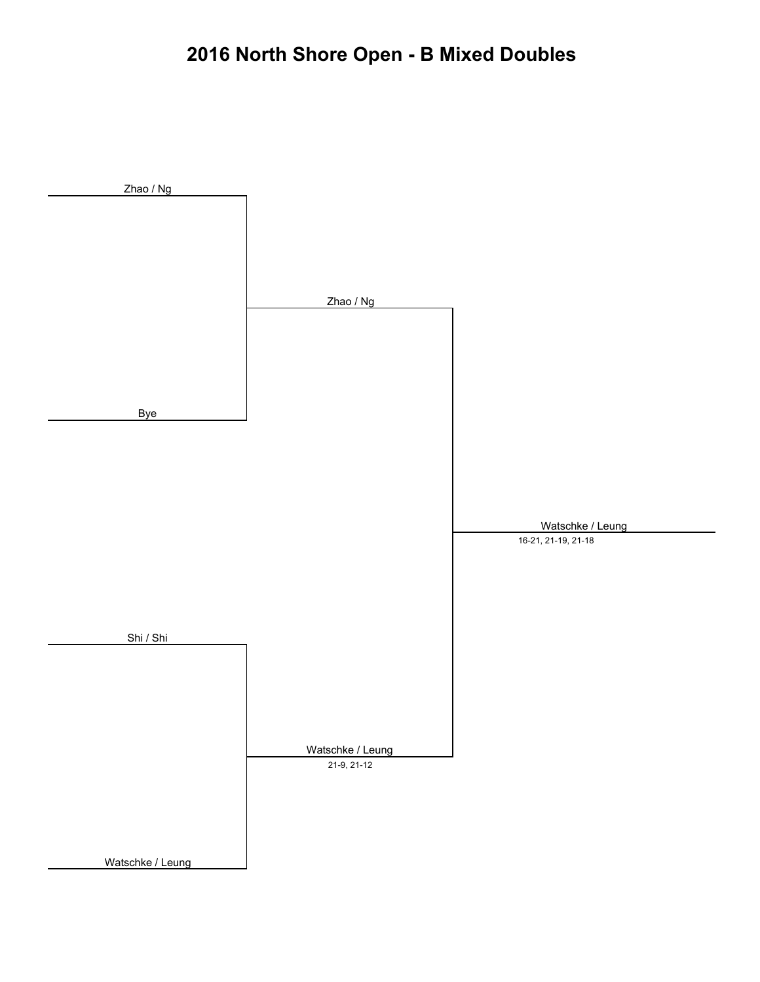# **2016 North Shore Open - B Mixed Doubles**

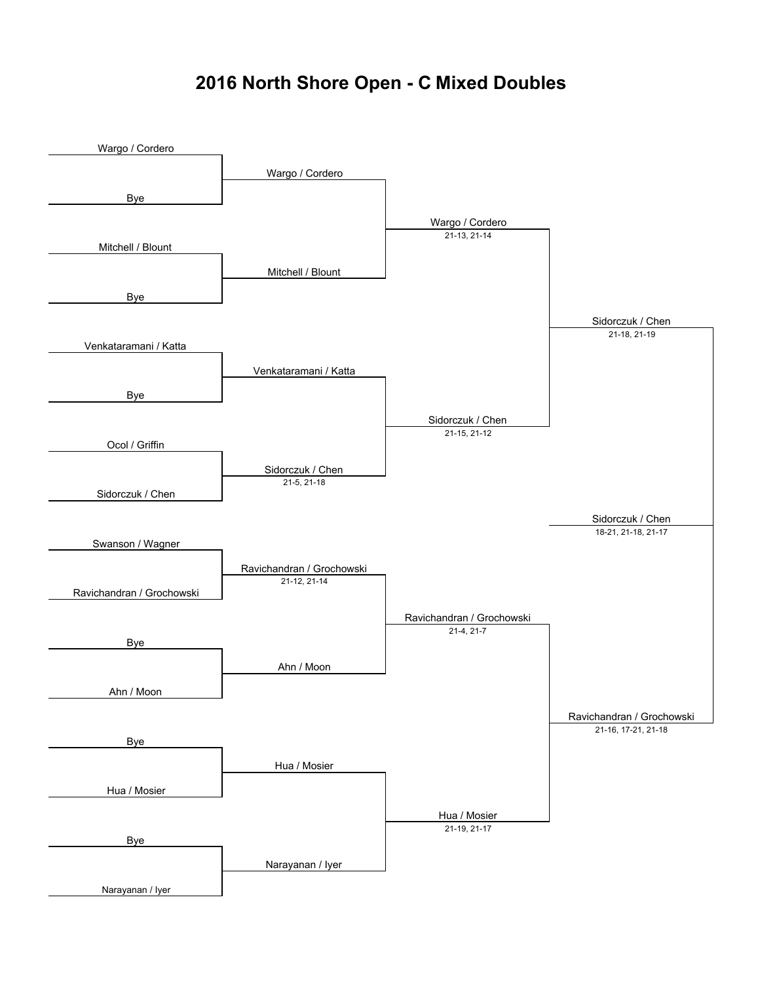### **2016 North Shore Open - C Mixed Doubles**